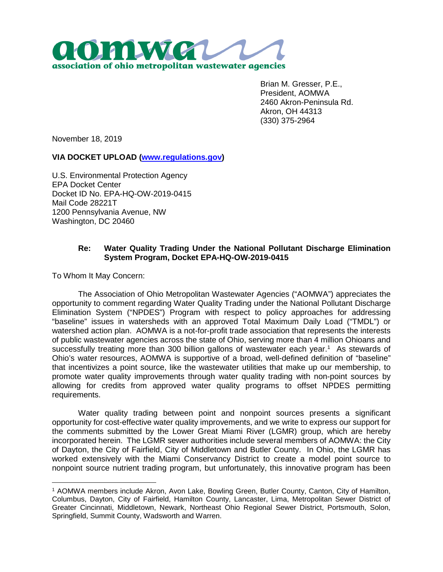

Brian M. Gresser, P.E., President, AOMWA 2460 Akron-Peninsula Rd. Akron, OH 44313 (330) 375-2964

November 18, 2019

## **VIA DOCKET UPLOAD (www.regulations.gov)**

U.S. Environmental Protection Agency EPA Docket Center Docket ID No. EPA-HQ-OW-2019-0415 Mail Code 28221T 1200 Pennsylvania Avenue, NW Washington, DC 20460

## **Re: Water Quality Trading Under the National Pollutant Discharge Elimination System Program, Docket EPA-HQ-OW-2019-0415**

To Whom It May Concern:

The Association of Ohio Metropolitan Wastewater Agencies ("AOMWA") appreciates the opportunity to comment regarding Water Quality Trading under the National Pollutant Discharge Elimination System ("NPDES") Program with respect to policy approaches for addressing "baseline" issues in watersheds with an approved Total Maximum Daily Load ("TMDL") or watershed action plan. AOMWA is a not-for-profit trade association that represents the interests of public wastewater agencies across the state of Ohio, serving more than 4 million Ohioans and successfully treating more than 300 billion gallons of wastewater each year.<sup>1</sup> As stewards of Ohio's water resources, AOMWA is supportive of a broad, well-defined definition of "baseline" that incentivizes a point source, like the wastewater utilities that make up our membership, to promote water quality improvements through water quality trading with non-point sources by allowing for credits from approved water quality programs to offset NPDES permitting requirements.

Water quality trading between point and nonpoint sources presents a significant opportunity for cost-effective water quality improvements, and we write to express our support for the comments submitted by the Lower Great Miami River (LGMR) group, which are hereby incorporated herein. The LGMR sewer authorities include several members of AOMWA: the City of Dayton, the City of Fairfield, City of Middletown and Butler County. In Ohio, the LGMR has worked extensively with the Miami Conservancy District to create a model point source to nonpoint source nutrient trading program, but unfortunately, this innovative program has been

<sup>1</sup> AOMWA members include Akron, Avon Lake, Bowling Green, Butler County, Canton, City of Hamilton, Columbus, Dayton, City of Fairfield, Hamilton County, Lancaster, Lima, Metropolitan Sewer District of Greater Cincinnati, Middletown, Newark, Northeast Ohio Regional Sewer District, Portsmouth, Solon, Springfield, Summit County, Wadsworth and Warren.